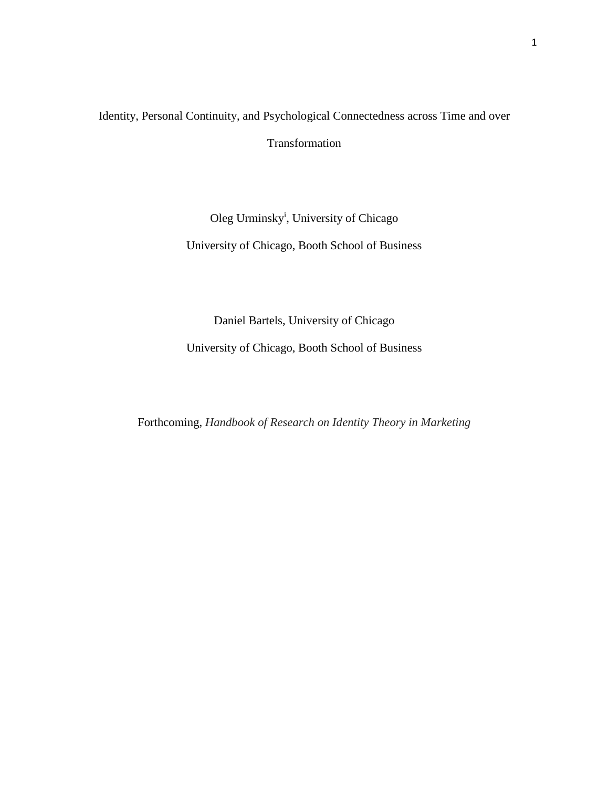# Identity, Personal Continuity, and Psychological Connectedness across Time and over Transformation

## Oleg Urminsky<sup>i</sup>, University of Chicago

University of Chicago, Booth School of Business

## Daniel Bartels, University of Chicago

University of Chicago, Booth School of Business

Forthcoming, *Handbook of Research on Identity Theory in Marketing*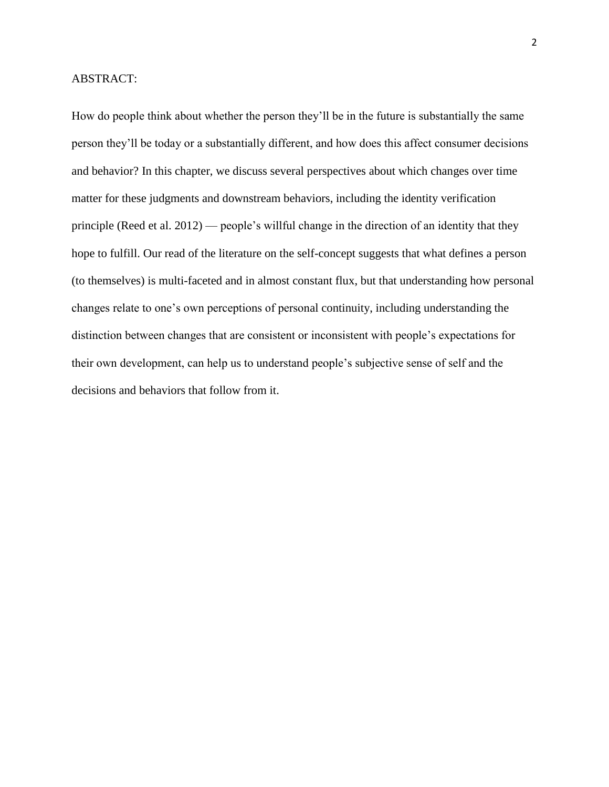## ABSTRACT:

How do people think about whether the person they'll be in the future is substantially the same person they'll be today or a substantially different, and how does this affect consumer decisions and behavior? In this chapter, we discuss several perspectives about which changes over time matter for these judgments and downstream behaviors, including the identity verification principle (Reed et al. 2012) — people's willful change in the direction of an identity that they hope to fulfill. Our read of the literature on the self-concept suggests that what defines a person (to themselves) is multi-faceted and in almost constant flux, but that understanding how personal changes relate to one's own perceptions of personal continuity, including understanding the distinction between changes that are consistent or inconsistent with people's expectations for their own development, can help us to understand people's subjective sense of self and the decisions and behaviors that follow from it.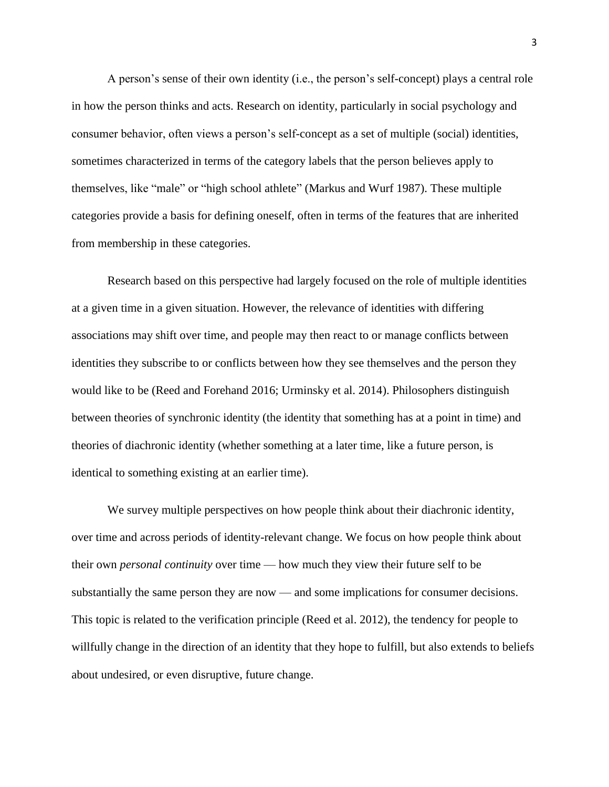A person's sense of their own identity (i.e., the person's self-concept) plays a central role in how the person thinks and acts. Research on identity, particularly in social psychology and consumer behavior, often views a person's self-concept as a set of multiple (social) identities, sometimes characterized in terms of the category labels that the person believes apply to themselves, like "male" or "high school athlete" (Markus and Wurf 1987). These multiple categories provide a basis for defining oneself, often in terms of the features that are inherited from membership in these categories.

Research based on this perspective had largely focused on the role of multiple identities at a given time in a given situation. However, the relevance of identities with differing associations may shift over time, and people may then react to or manage conflicts between identities they subscribe to or conflicts between how they see themselves and the person they would like to be (Reed and Forehand 2016; Urminsky et al. 2014). Philosophers distinguish between theories of synchronic identity (the identity that something has at a point in time) and theories of diachronic identity (whether something at a later time, like a future person, is identical to something existing at an earlier time).

We survey multiple perspectives on how people think about their diachronic identity, over time and across periods of identity-relevant change. We focus on how people think about their own *personal continuity* over time — how much they view their future self to be substantially the same person they are now — and some implications for consumer decisions. This topic is related to the verification principle (Reed et al. 2012), the tendency for people to willfully change in the direction of an identity that they hope to fulfill, but also extends to beliefs about undesired, or even disruptive, future change.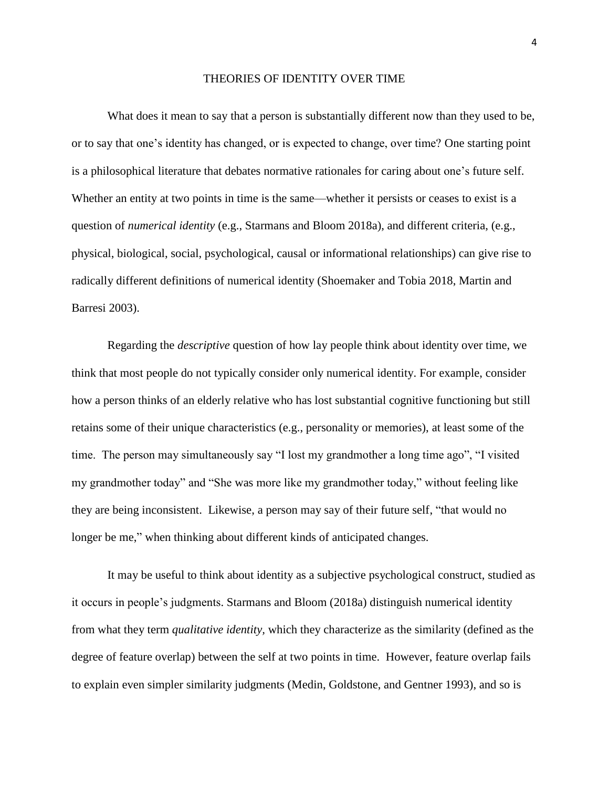#### THEORIES OF IDENTITY OVER TIME

What does it mean to say that a person is substantially different now than they used to be, or to say that one's identity has changed, or is expected to change, over time? One starting point is a philosophical literature that debates normative rationales for caring about one's future self. Whether an entity at two points in time is the same—whether it persists or ceases to exist is a question of *numerical identity* (e.g., Starmans and Bloom 2018a), and different criteria, (e.g., physical, biological, social, psychological, causal or informational relationships) can give rise to radically different definitions of numerical identity (Shoemaker and Tobia 2018, Martin and Barresi 2003).

Regarding the *descriptive* question of how lay people think about identity over time, we think that most people do not typically consider only numerical identity. For example, consider how a person thinks of an elderly relative who has lost substantial cognitive functioning but still retains some of their unique characteristics (e.g., personality or memories), at least some of the time. The person may simultaneously say "I lost my grandmother a long time ago", "I visited my grandmother today" and "She was more like my grandmother today," without feeling like they are being inconsistent. Likewise, a person may say of their future self, "that would no longer be me," when thinking about different kinds of anticipated changes.

It may be useful to think about identity as a subjective psychological construct, studied as it occurs in people's judgments. Starmans and Bloom (2018a) distinguish numerical identity from what they term *qualitative identity,* which they characterize as the similarity (defined as the degree of feature overlap) between the self at two points in time. However, feature overlap fails to explain even simpler similarity judgments (Medin, Goldstone, and Gentner 1993), and so is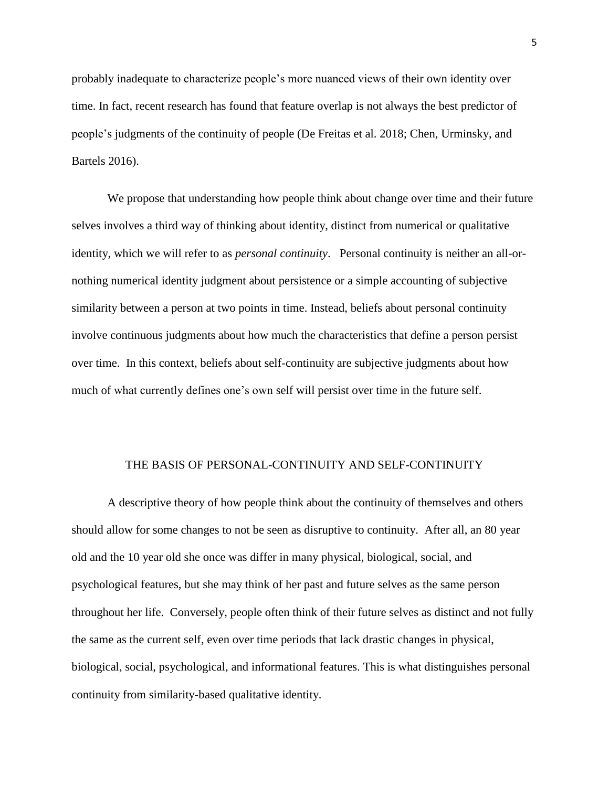probably inadequate to characterize people's more nuanced views of their own identity over time. In fact, recent research has found that feature overlap is not always the best predictor of people's judgments of the continuity of people (De Freitas et al. 2018; Chen, Urminsky, and Bartels 2016).

We propose that understanding how people think about change over time and their future selves involves a third way of thinking about identity, distinct from numerical or qualitative identity, which we will refer to as *personal continuity*. Personal continuity is neither an all-ornothing numerical identity judgment about persistence or a simple accounting of subjective similarity between a person at two points in time. Instead, beliefs about personal continuity involve continuous judgments about how much the characteristics that define a person persist over time. In this context, beliefs about self-continuity are subjective judgments about how much of what currently defines one's own self will persist over time in the future self.

#### THE BASIS OF PERSONAL-CONTINUITY AND SELF-CONTINUITY

A descriptive theory of how people think about the continuity of themselves and others should allow for some changes to not be seen as disruptive to continuity. After all, an 80 year old and the 10 year old she once was differ in many physical, biological, social, and psychological features, but she may think of her past and future selves as the same person throughout her life. Conversely, people often think of their future selves as distinct and not fully the same as the current self, even over time periods that lack drastic changes in physical, biological, social, psychological, and informational features. This is what distinguishes personal continuity from similarity-based qualitative identity.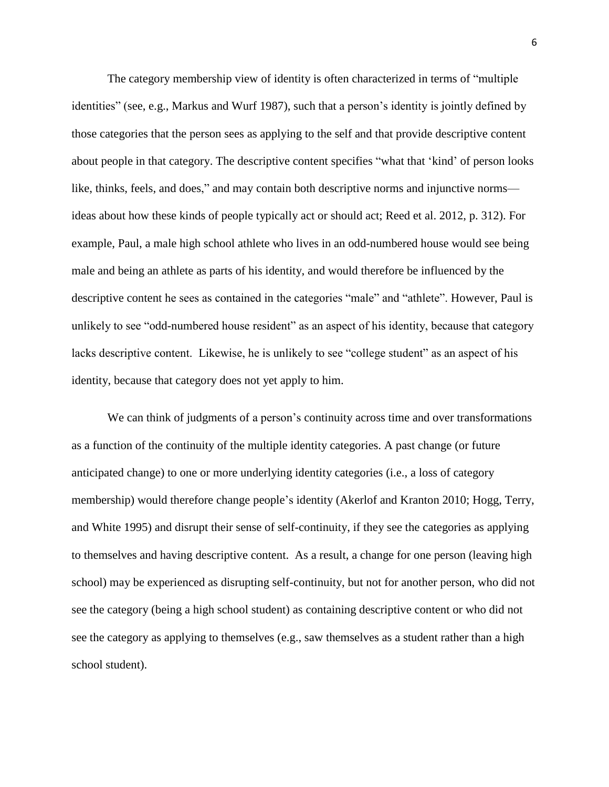The category membership view of identity is often characterized in terms of "multiple identities" (see, e.g., Markus and Wurf 1987), such that a person's identity is jointly defined by those categories that the person sees as applying to the self and that provide descriptive content about people in that category. The descriptive content specifies "what that 'kind' of person looks like, thinks, feels, and does," and may contain both descriptive norms and injunctive norms ideas about how these kinds of people typically act or should act; Reed et al. 2012, p. 312). For example, Paul, a male high school athlete who lives in an odd-numbered house would see being male and being an athlete as parts of his identity, and would therefore be influenced by the descriptive content he sees as contained in the categories "male" and "athlete". However, Paul is unlikely to see "odd-numbered house resident" as an aspect of his identity, because that category lacks descriptive content. Likewise, he is unlikely to see "college student" as an aspect of his identity, because that category does not yet apply to him.

We can think of judgments of a person's continuity across time and over transformations as a function of the continuity of the multiple identity categories. A past change (or future anticipated change) to one or more underlying identity categories (i.e., a loss of category membership) would therefore change people's identity (Akerlof and Kranton 2010; Hogg, Terry, and White 1995) and disrupt their sense of self-continuity, if they see the categories as applying to themselves and having descriptive content. As a result, a change for one person (leaving high school) may be experienced as disrupting self-continuity, but not for another person, who did not see the category (being a high school student) as containing descriptive content or who did not see the category as applying to themselves (e.g., saw themselves as a student rather than a high school student).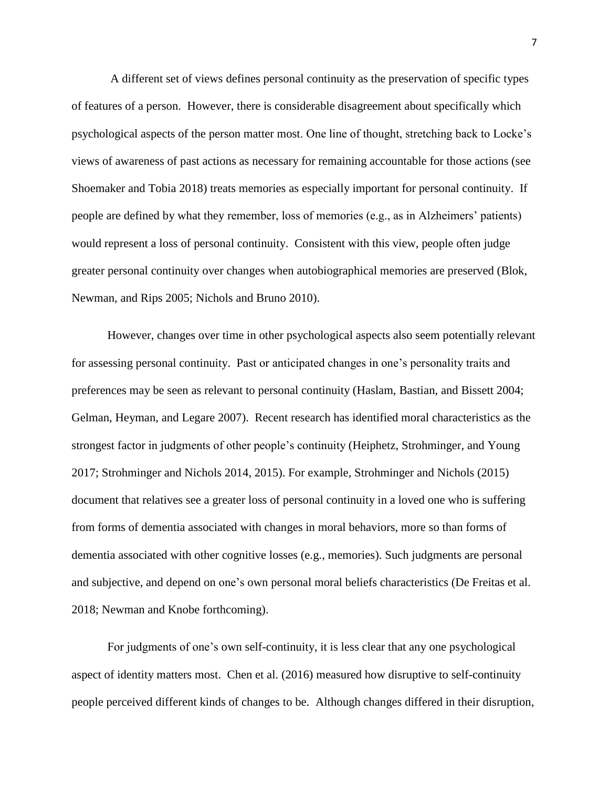A different set of views defines personal continuity as the preservation of specific types of features of a person. However, there is considerable disagreement about specifically which psychological aspects of the person matter most. One line of thought, stretching back to Locke's views of awareness of past actions as necessary for remaining accountable for those actions (see Shoemaker and Tobia 2018) treats memories as especially important for personal continuity. If people are defined by what they remember, loss of memories (e.g., as in Alzheimers' patients) would represent a loss of personal continuity. Consistent with this view, people often judge greater personal continuity over changes when autobiographical memories are preserved (Blok, Newman, and Rips 2005; Nichols and Bruno 2010).

However, changes over time in other psychological aspects also seem potentially relevant for assessing personal continuity. Past or anticipated changes in one's personality traits and preferences may be seen as relevant to personal continuity (Haslam, Bastian, and Bissett 2004; Gelman, Heyman, and Legare 2007). Recent research has identified moral characteristics as the strongest factor in judgments of other people's continuity (Heiphetz, Strohminger, and Young 2017; Strohminger and Nichols 2014, 2015). For example, Strohminger and Nichols (2015) document that relatives see a greater loss of personal continuity in a loved one who is suffering from forms of dementia associated with changes in moral behaviors, more so than forms of dementia associated with other cognitive losses (e.g., memories). Such judgments are personal and subjective, and depend on one's own personal moral beliefs characteristics (De Freitas et al. 2018; Newman and Knobe forthcoming).

For judgments of one's own self-continuity, it is less clear that any one psychological aspect of identity matters most. Chen et al. (2016) measured how disruptive to self-continuity people perceived different kinds of changes to be. Although changes differed in their disruption,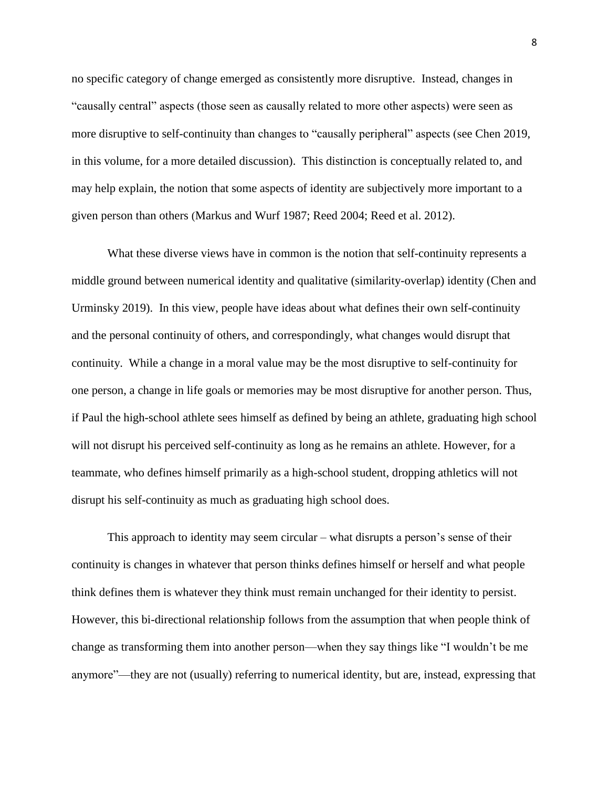no specific category of change emerged as consistently more disruptive. Instead, changes in "causally central" aspects (those seen as causally related to more other aspects) were seen as more disruptive to self-continuity than changes to "causally peripheral" aspects (see Chen 2019, in this volume, for a more detailed discussion). This distinction is conceptually related to, and may help explain, the notion that some aspects of identity are subjectively more important to a given person than others (Markus and Wurf 1987; Reed 2004; Reed et al. 2012).

What these diverse views have in common is the notion that self-continuity represents a middle ground between numerical identity and qualitative (similarity-overlap) identity (Chen and Urminsky 2019). In this view, people have ideas about what defines their own self-continuity and the personal continuity of others, and correspondingly, what changes would disrupt that continuity. While a change in a moral value may be the most disruptive to self-continuity for one person, a change in life goals or memories may be most disruptive for another person. Thus, if Paul the high-school athlete sees himself as defined by being an athlete, graduating high school will not disrupt his perceived self-continuity as long as he remains an athlete. However, for a teammate, who defines himself primarily as a high-school student, dropping athletics will not disrupt his self-continuity as much as graduating high school does.

This approach to identity may seem circular – what disrupts a person's sense of their continuity is changes in whatever that person thinks defines himself or herself and what people think defines them is whatever they think must remain unchanged for their identity to persist. However, this bi-directional relationship follows from the assumption that when people think of change as transforming them into another person—when they say things like "I wouldn't be me anymore"—they are not (usually) referring to numerical identity, but are, instead, expressing that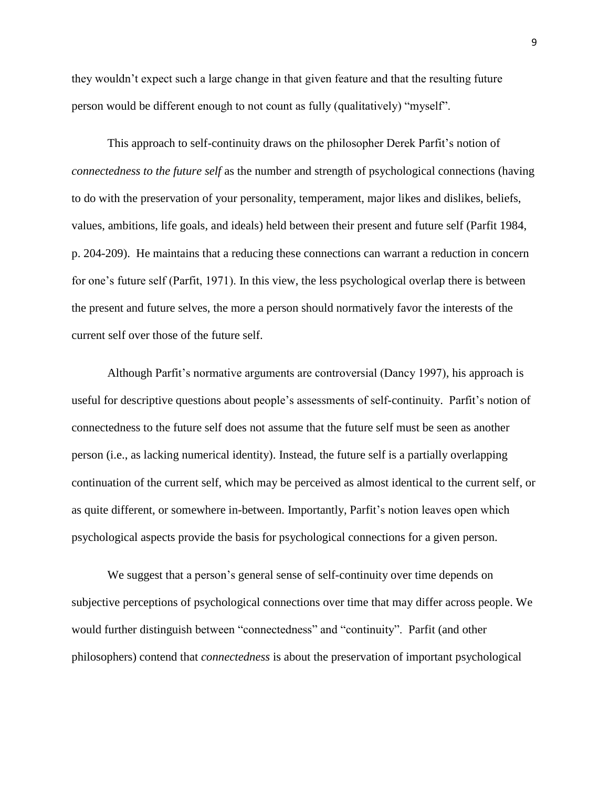they wouldn't expect such a large change in that given feature and that the resulting future person would be different enough to not count as fully (qualitatively) "myself".

This approach to self-continuity draws on the philosopher Derek Parfit's notion of *connectedness to the future self* as the number and strength of psychological connections (having to do with the preservation of your personality, temperament, major likes and dislikes, beliefs, values, ambitions, life goals, and ideals) held between their present and future self (Parfit 1984, p. 204-209). He maintains that a reducing these connections can warrant a reduction in concern for one's future self (Parfit, 1971). In this view, the less psychological overlap there is between the present and future selves, the more a person should normatively favor the interests of the current self over those of the future self.

Although Parfit's normative arguments are controversial (Dancy 1997), his approach is useful for descriptive questions about people's assessments of self-continuity. Parfit's notion of connectedness to the future self does not assume that the future self must be seen as another person (i.e., as lacking numerical identity). Instead, the future self is a partially overlapping continuation of the current self, which may be perceived as almost identical to the current self, or as quite different, or somewhere in-between. Importantly, Parfit's notion leaves open which psychological aspects provide the basis for psychological connections for a given person.

We suggest that a person's general sense of self-continuity over time depends on subjective perceptions of psychological connections over time that may differ across people. We would further distinguish between "connectedness" and "continuity". Parfit (and other philosophers) contend that *connectedness* is about the preservation of important psychological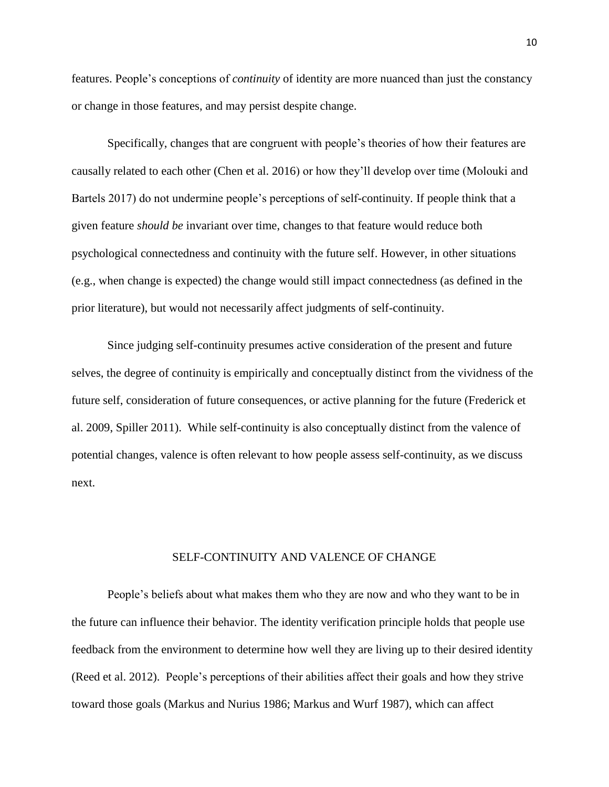features. People's conceptions of *continuity* of identity are more nuanced than just the constancy or change in those features, and may persist despite change.

Specifically, changes that are congruent with people's theories of how their features are causally related to each other (Chen et al. 2016) or how they'll develop over time (Molouki and Bartels 2017) do not undermine people's perceptions of self-continuity. If people think that a given feature *should be* invariant over time, changes to that feature would reduce both psychological connectedness and continuity with the future self. However, in other situations (e.g., when change is expected) the change would still impact connectedness (as defined in the prior literature), but would not necessarily affect judgments of self-continuity.

Since judging self-continuity presumes active consideration of the present and future selves, the degree of continuity is empirically and conceptually distinct from the vividness of the future self, consideration of future consequences, or active planning for the future (Frederick et al. 2009, Spiller 2011). While self-continuity is also conceptually distinct from the valence of potential changes, valence is often relevant to how people assess self-continuity, as we discuss next.

## SELF-CONTINUITY AND VALENCE OF CHANGE

People's beliefs about what makes them who they are now and who they want to be in the future can influence their behavior. The identity verification principle holds that people use feedback from the environment to determine how well they are living up to their desired identity (Reed et al. 2012). People's perceptions of their abilities affect their goals and how they strive toward those goals (Markus and Nurius 1986; Markus and Wurf 1987), which can affect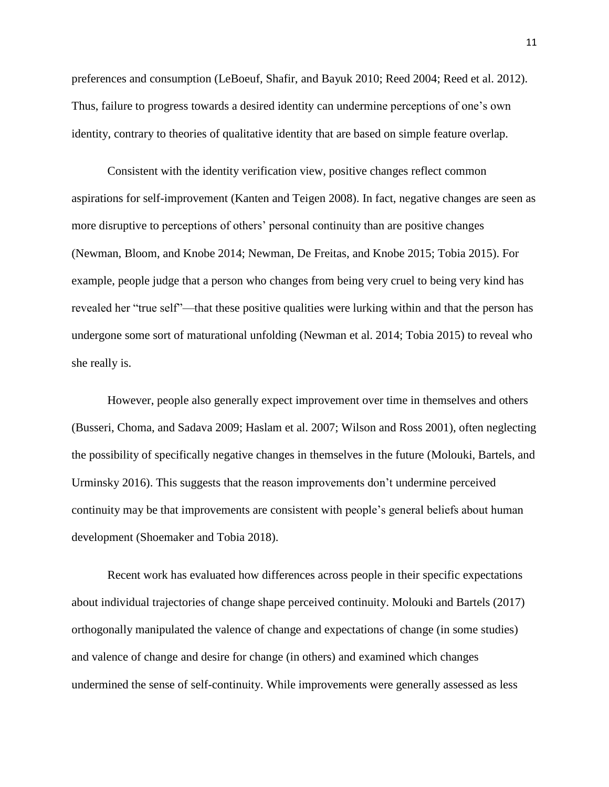preferences and consumption (LeBoeuf, Shafir, and Bayuk 2010; Reed 2004; Reed et al. 2012). Thus, failure to progress towards a desired identity can undermine perceptions of one's own identity, contrary to theories of qualitative identity that are based on simple feature overlap.

Consistent with the identity verification view, positive changes reflect common aspirations for self-improvement (Kanten and Teigen 2008). In fact, negative changes are seen as more disruptive to perceptions of others' personal continuity than are positive changes (Newman, Bloom, and Knobe 2014; Newman, De Freitas, and Knobe 2015; Tobia 2015). For example, people judge that a person who changes from being very cruel to being very kind has revealed her "true self"—that these positive qualities were lurking within and that the person has undergone some sort of maturational unfolding (Newman et al. 2014; Tobia 2015) to reveal who she really is.

However, people also generally expect improvement over time in themselves and others (Busseri, Choma, and Sadava 2009; Haslam et al. 2007; Wilson and Ross 2001), often neglecting the possibility of specifically negative changes in themselves in the future (Molouki, Bartels, and Urminsky 2016). This suggests that the reason improvements don't undermine perceived continuity may be that improvements are consistent with people's general beliefs about human development (Shoemaker and Tobia 2018).

Recent work has evaluated how differences across people in their specific expectations about individual trajectories of change shape perceived continuity. Molouki and Bartels (2017) orthogonally manipulated the valence of change and expectations of change (in some studies) and valence of change and desire for change (in others) and examined which changes undermined the sense of self-continuity. While improvements were generally assessed as less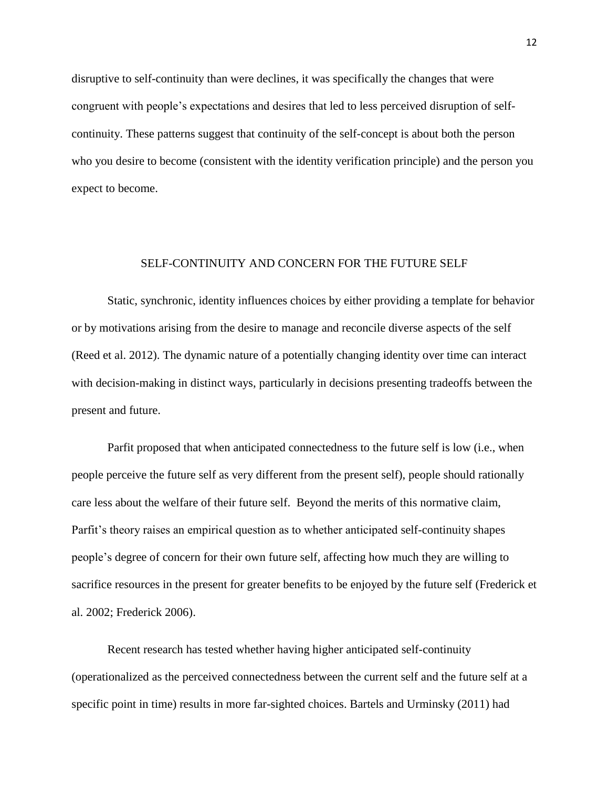disruptive to self-continuity than were declines, it was specifically the changes that were congruent with people's expectations and desires that led to less perceived disruption of selfcontinuity. These patterns suggest that continuity of the self-concept is about both the person who you desire to become (consistent with the identity verification principle) and the person you expect to become.

## SELF-CONTINUITY AND CONCERN FOR THE FUTURE SELF

Static, synchronic, identity influences choices by either providing a template for behavior or by motivations arising from the desire to manage and reconcile diverse aspects of the self (Reed et al. 2012). The dynamic nature of a potentially changing identity over time can interact with decision-making in distinct ways, particularly in decisions presenting tradeoffs between the present and future.

Parfit proposed that when anticipated connectedness to the future self is low (i.e., when people perceive the future self as very different from the present self), people should rationally care less about the welfare of their future self. Beyond the merits of this normative claim, Parfit's theory raises an empirical question as to whether anticipated self-continuity shapes people's degree of concern for their own future self, affecting how much they are willing to sacrifice resources in the present for greater benefits to be enjoyed by the future self (Frederick et al. 2002; Frederick 2006).

Recent research has tested whether having higher anticipated self-continuity (operationalized as the perceived connectedness between the current self and the future self at a specific point in time) results in more far-sighted choices. Bartels and Urminsky (2011) had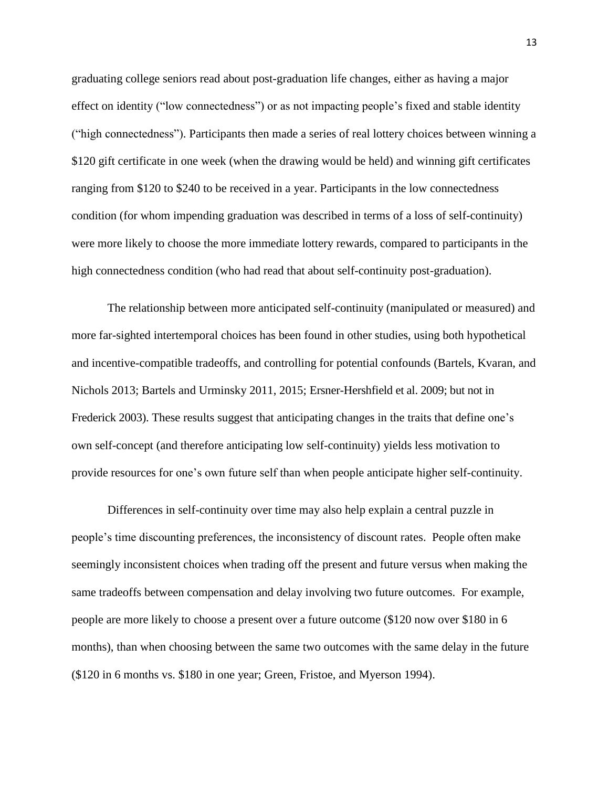graduating college seniors read about post-graduation life changes, either as having a major effect on identity ("low connectedness") or as not impacting people's fixed and stable identity ("high connectedness"). Participants then made a series of real lottery choices between winning a \$120 gift certificate in one week (when the drawing would be held) and winning gift certificates ranging from \$120 to \$240 to be received in a year. Participants in the low connectedness condition (for whom impending graduation was described in terms of a loss of self-continuity) were more likely to choose the more immediate lottery rewards, compared to participants in the high connectedness condition (who had read that about self-continuity post-graduation).

The relationship between more anticipated self-continuity (manipulated or measured) and more far-sighted intertemporal choices has been found in other studies, using both hypothetical and incentive-compatible tradeoffs, and controlling for potential confounds (Bartels, Kvaran, and Nichols 2013; Bartels and Urminsky 2011, 2015; Ersner-Hershfield et al. 2009; but not in Frederick 2003). These results suggest that anticipating changes in the traits that define one's own self-concept (and therefore anticipating low self-continuity) yields less motivation to provide resources for one's own future self than when people anticipate higher self-continuity.

Differences in self-continuity over time may also help explain a central puzzle in people's time discounting preferences, the inconsistency of discount rates. People often make seemingly inconsistent choices when trading off the present and future versus when making the same tradeoffs between compensation and delay involving two future outcomes. For example, people are more likely to choose a present over a future outcome (\$120 now over \$180 in 6 months), than when choosing between the same two outcomes with the same delay in the future (\$120 in 6 months vs. \$180 in one year; Green, Fristoe, and Myerson 1994).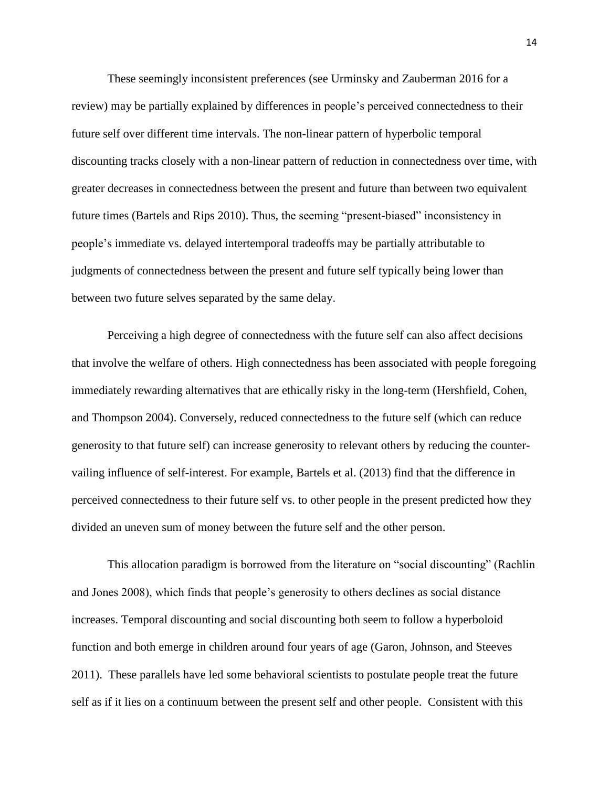These seemingly inconsistent preferences (see Urminsky and Zauberman 2016 for a review) may be partially explained by differences in people's perceived connectedness to their future self over different time intervals. The non-linear pattern of hyperbolic temporal discounting tracks closely with a non-linear pattern of reduction in connectedness over time, with greater decreases in connectedness between the present and future than between two equivalent future times (Bartels and Rips 2010). Thus, the seeming "present-biased" inconsistency in people's immediate vs. delayed intertemporal tradeoffs may be partially attributable to judgments of connectedness between the present and future self typically being lower than between two future selves separated by the same delay.

Perceiving a high degree of connectedness with the future self can also affect decisions that involve the welfare of others. High connectedness has been associated with people foregoing immediately rewarding alternatives that are ethically risky in the long-term (Hershfield, Cohen, and Thompson 2004). Conversely, reduced connectedness to the future self (which can reduce generosity to that future self) can increase generosity to relevant others by reducing the countervailing influence of self-interest. For example, Bartels et al. (2013) find that the difference in perceived connectedness to their future self vs. to other people in the present predicted how they divided an uneven sum of money between the future self and the other person.

This allocation paradigm is borrowed from the literature on "social discounting" (Rachlin and Jones 2008), which finds that people's generosity to others declines as social distance increases. Temporal discounting and social discounting both seem to follow a hyperboloid function and both emerge in children around four years of age (Garon, Johnson, and Steeves 2011). These parallels have led some behavioral scientists to postulate people treat the future self as if it lies on a continuum between the present self and other people. Consistent with this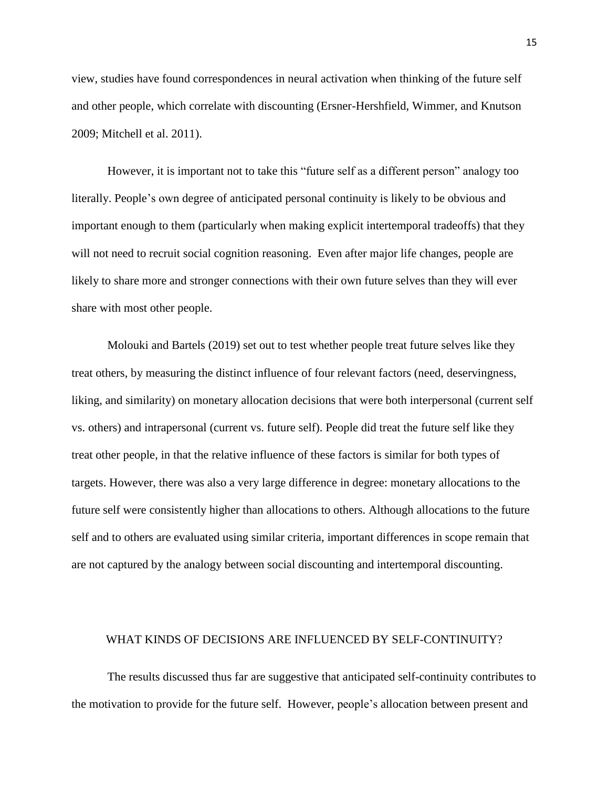view, studies have found correspondences in neural activation when thinking of the future self and other people, which correlate with discounting (Ersner-Hershfield, Wimmer, and Knutson 2009; Mitchell et al. 2011).

However, it is important not to take this "future self as a different person" analogy too literally. People's own degree of anticipated personal continuity is likely to be obvious and important enough to them (particularly when making explicit intertemporal tradeoffs) that they will not need to recruit social cognition reasoning. Even after major life changes, people are likely to share more and stronger connections with their own future selves than they will ever share with most other people.

Molouki and Bartels (2019) set out to test whether people treat future selves like they treat others, by measuring the distinct influence of four relevant factors (need, deservingness, liking, and similarity) on monetary allocation decisions that were both interpersonal (current self vs. others) and intrapersonal (current vs. future self). People did treat the future self like they treat other people, in that the relative influence of these factors is similar for both types of targets. However, there was also a very large difference in degree: monetary allocations to the future self were consistently higher than allocations to others. Although allocations to the future self and to others are evaluated using similar criteria, important differences in scope remain that are not captured by the analogy between social discounting and intertemporal discounting.

## WHAT KINDS OF DECISIONS ARE INFLUENCED BY SELF-CONTINUITY?

The results discussed thus far are suggestive that anticipated self-continuity contributes to the motivation to provide for the future self. However, people's allocation between present and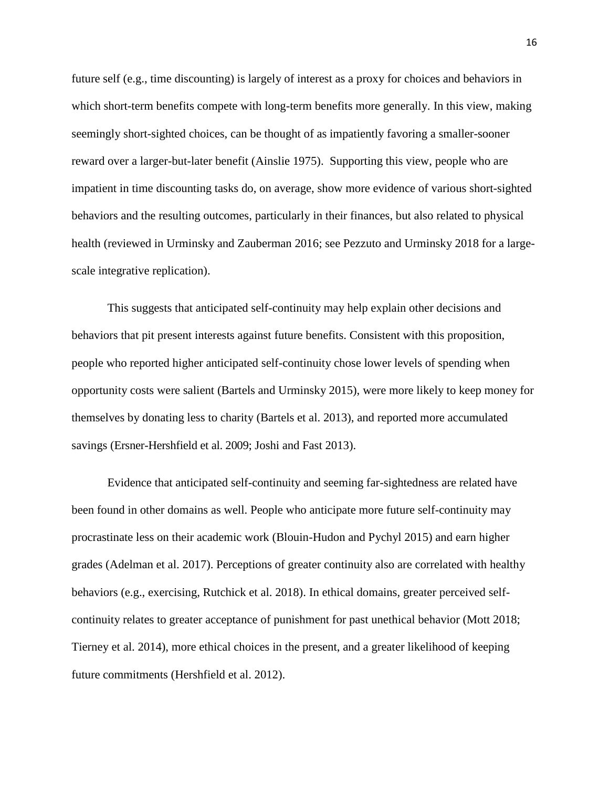future self (e.g., time discounting) is largely of interest as a proxy for choices and behaviors in which short-term benefits compete with long-term benefits more generally. In this view, making seemingly short-sighted choices, can be thought of as impatiently favoring a smaller-sooner reward over a larger-but-later benefit (Ainslie 1975). Supporting this view, people who are impatient in time discounting tasks do, on average, show more evidence of various short-sighted behaviors and the resulting outcomes, particularly in their finances, but also related to physical health (reviewed in Urminsky and Zauberman 2016; see Pezzuto and Urminsky 2018 for a largescale integrative replication).

This suggests that anticipated self-continuity may help explain other decisions and behaviors that pit present interests against future benefits. Consistent with this proposition, people who reported higher anticipated self-continuity chose lower levels of spending when opportunity costs were salient (Bartels and Urminsky 2015), were more likely to keep money for themselves by donating less to charity (Bartels et al. 2013), and reported more accumulated savings (Ersner-Hershfield et al. 2009; Joshi and Fast 2013).

Evidence that anticipated self-continuity and seeming far-sightedness are related have been found in other domains as well. People who anticipate more future self-continuity may procrastinate less on their academic work (Blouin-Hudon and Pychyl 2015) and earn higher grades (Adelman et al. 2017). Perceptions of greater continuity also are correlated with healthy behaviors (e.g., exercising, Rutchick et al. 2018). In ethical domains, greater perceived selfcontinuity relates to greater acceptance of punishment for past unethical behavior (Mott 2018; Tierney et al. 2014), more ethical choices in the present, and a greater likelihood of keeping future commitments (Hershfield et al. 2012).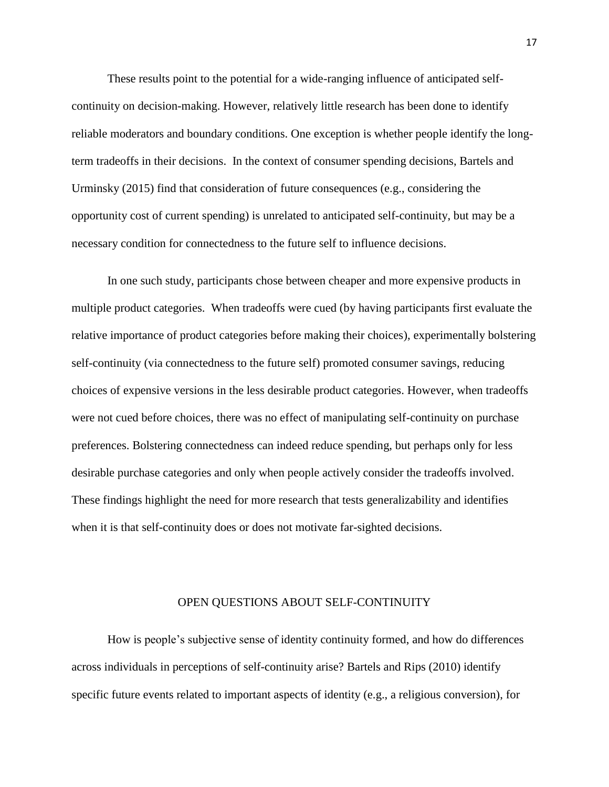These results point to the potential for a wide-ranging influence of anticipated selfcontinuity on decision-making. However, relatively little research has been done to identify reliable moderators and boundary conditions. One exception is whether people identify the longterm tradeoffs in their decisions. In the context of consumer spending decisions, Bartels and Urminsky (2015) find that consideration of future consequences (e.g., considering the opportunity cost of current spending) is unrelated to anticipated self-continuity, but may be a necessary condition for connectedness to the future self to influence decisions.

In one such study, participants chose between cheaper and more expensive products in multiple product categories. When tradeoffs were cued (by having participants first evaluate the relative importance of product categories before making their choices), experimentally bolstering self-continuity (via connectedness to the future self) promoted consumer savings, reducing choices of expensive versions in the less desirable product categories. However, when tradeoffs were not cued before choices, there was no effect of manipulating self-continuity on purchase preferences. Bolstering connectedness can indeed reduce spending, but perhaps only for less desirable purchase categories and only when people actively consider the tradeoffs involved. These findings highlight the need for more research that tests generalizability and identifies when it is that self-continuity does or does not motivate far-sighted decisions.

## OPEN QUESTIONS ABOUT SELF-CONTINUITY

How is people's subjective sense of identity continuity formed, and how do differences across individuals in perceptions of self-continuity arise? Bartels and Rips (2010) identify specific future events related to important aspects of identity (e.g., a religious conversion), for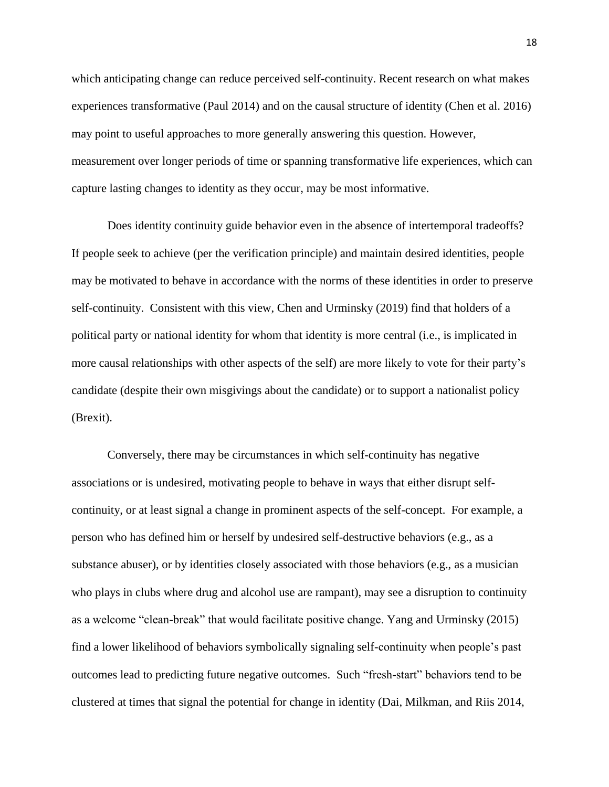which anticipating change can reduce perceived self-continuity. Recent research on what makes experiences transformative (Paul 2014) and on the causal structure of identity (Chen et al. 2016) may point to useful approaches to more generally answering this question. However, measurement over longer periods of time or spanning transformative life experiences, which can capture lasting changes to identity as they occur, may be most informative.

Does identity continuity guide behavior even in the absence of intertemporal tradeoffs? If people seek to achieve (per the verification principle) and maintain desired identities, people may be motivated to behave in accordance with the norms of these identities in order to preserve self-continuity. Consistent with this view, Chen and Urminsky (2019) find that holders of a political party or national identity for whom that identity is more central (i.e., is implicated in more causal relationships with other aspects of the self) are more likely to vote for their party's candidate (despite their own misgivings about the candidate) or to support a nationalist policy (Brexit).

Conversely, there may be circumstances in which self-continuity has negative associations or is undesired, motivating people to behave in ways that either disrupt selfcontinuity, or at least signal a change in prominent aspects of the self-concept. For example, a person who has defined him or herself by undesired self-destructive behaviors (e.g., as a substance abuser), or by identities closely associated with those behaviors (e.g., as a musician who plays in clubs where drug and alcohol use are rampant), may see a disruption to continuity as a welcome "clean-break" that would facilitate positive change. Yang and Urminsky (2015) find a lower likelihood of behaviors symbolically signaling self-continuity when people's past outcomes lead to predicting future negative outcomes. Such "fresh-start" behaviors tend to be clustered at times that signal the potential for change in identity (Dai, Milkman, and Riis 2014,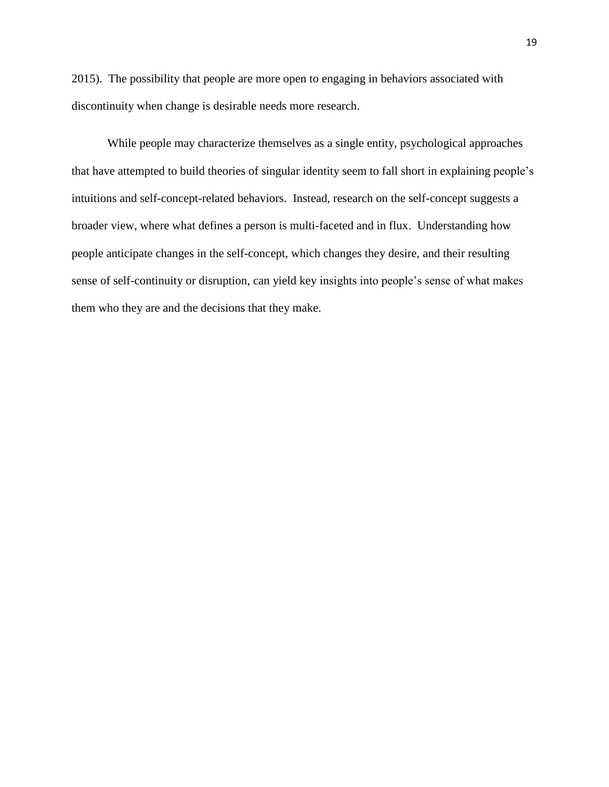2015). The possibility that people are more open to engaging in behaviors associated with discontinuity when change is desirable needs more research.

While people may characterize themselves as a single entity, psychological approaches that have attempted to build theories of singular identity seem to fall short in explaining people's intuitions and self-concept-related behaviors. Instead, research on the self-concept suggests a broader view, where what defines a person is multi-faceted and in flux. Understanding how people anticipate changes in the self-concept, which changes they desire, and their resulting sense of self-continuity or disruption, can yield key insights into people's sense of what makes them who they are and the decisions that they make.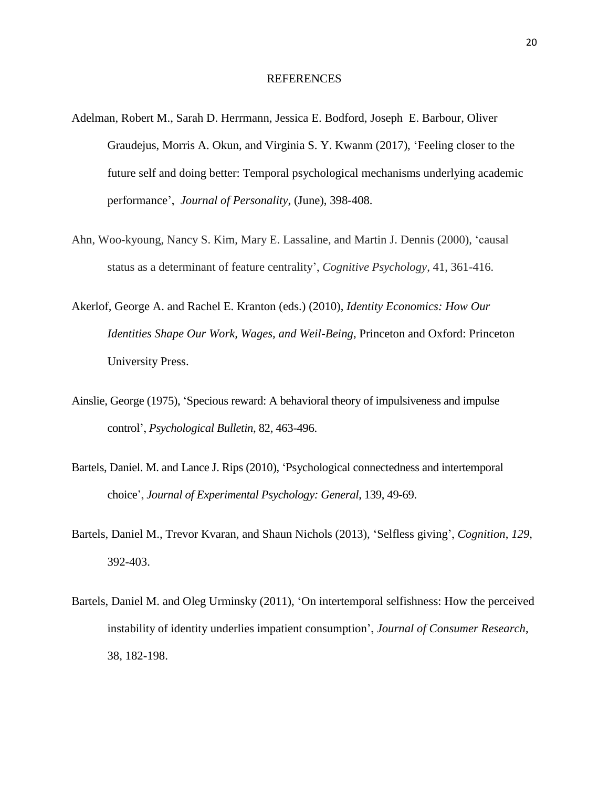#### REFERENCES

- Adelman, Robert M., Sarah D. Herrmann, Jessica E. Bodford, Joseph E. Barbour, Oliver Graudejus, Morris A. Okun, and Virginia S. Y. Kwanm (2017), 'Feeling closer to the future self and doing better: Temporal psychological mechanisms underlying academic performance', *Journal of Personality*, (June), 398-408.
- Ahn, Woo-kyoung, Nancy S. Kim, Mary E. Lassaline, and Martin J. Dennis (2000), 'causal status as a determinant of feature centrality', *Cognitive Psychology*, 41, 361-416.
- Akerlof, George A. and Rachel E. Kranton (eds.) (2010), *Identity Economics: How Our Identities Shape Our Work, Wages, and Weil-Being*, Princeton and Oxford: Princeton University Press.
- Ainslie, George (1975), 'Specious reward: A behavioral theory of impulsiveness and impulse control', *Psychological Bulletin*, 82, 463-496.
- Bartels, Daniel. M. and Lance J. Rips (2010), 'Psychological connectedness and intertemporal choice', *Journal of Experimental Psychology: General*, 139, 49-69.
- Bartels, Daniel M., Trevor Kvaran, and Shaun Nichols (2013), 'Selfless giving', *Cognition*, *129,*  392-403.
- Bartels, Daniel M. and Oleg Urminsky (2011), 'On intertemporal selfishness: How the perceived instability of identity underlies impatient consumption', *Journal of Consumer Research*, 38, 182-198.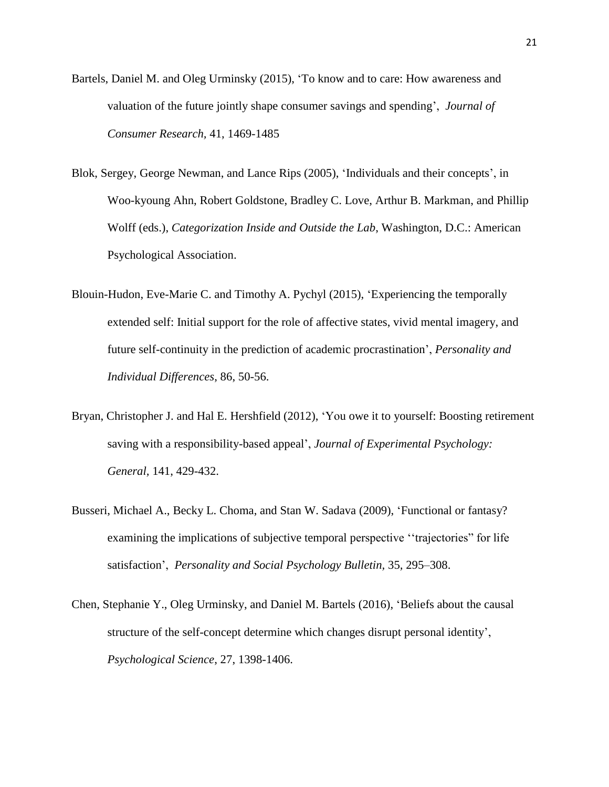- Bartels, Daniel M. and Oleg Urminsky (2015), 'To know and to care: How awareness and valuation of the future jointly shape consumer savings and spending', *Journal of Consumer Research,* 41, 1469-1485
- Blok, Sergey, George Newman, and Lance Rips (2005), 'Individuals and their concepts', in Woo-kyoung Ahn, Robert Goldstone, Bradley C. Love, Arthur B. Markman, and Phillip Wolff (eds.), *Categorization Inside and Outside the Lab*, Washington, D.C.: American Psychological Association.
- Blouin-Hudon, Eve-Marie C. and Timothy A. Pychyl (2015), 'Experiencing the temporally extended self: Initial support for the role of affective states, vivid mental imagery, and future self-continuity in the prediction of academic procrastination', *Personality and Individual Differences*, 86, 50-56.
- Bryan, Christopher J. and Hal E. Hershfield (2012), 'You owe it to yourself: Boosting retirement saving with a responsibility-based appeal', *Journal of Experimental Psychology: General,* 141, 429-432.
- Busseri, Michael A., Becky L. Choma, and Stan W. Sadava (2009), 'Functional or fantasy? examining the implications of subjective temporal perspective ''trajectories" for life satisfaction', *Personality and Social Psychology Bulletin,* 35*,* 295–308.
- Chen, Stephanie Y., Oleg Urminsky, and Daniel M. Bartels (2016), 'Beliefs about the causal structure of the self-concept determine which changes disrupt personal identity', *Psychological Science*, 27, 1398-1406.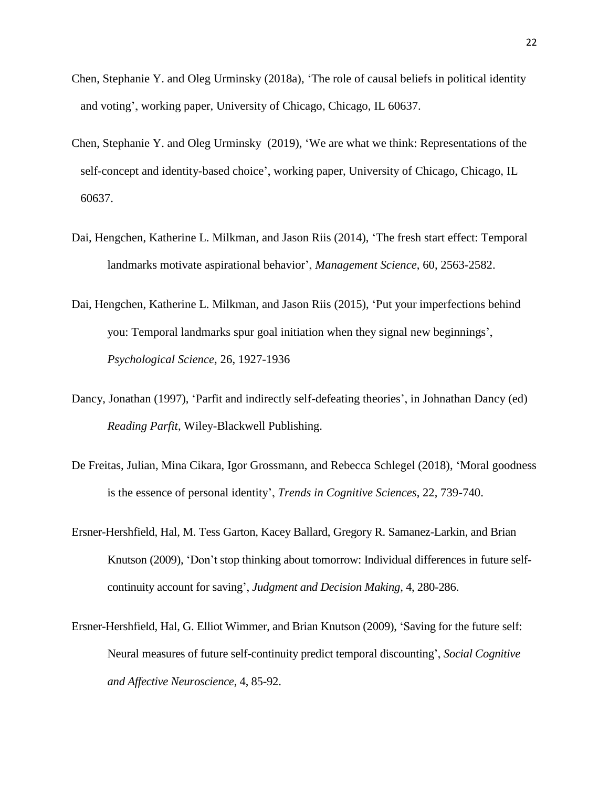- Chen, Stephanie Y. and Oleg Urminsky (2018a), 'The role of causal beliefs in political identity and voting', working paper, University of Chicago, Chicago, IL 60637.
- Chen, Stephanie Y. and Oleg Urminsky (2019), 'We are what we think: Representations of the self-concept and identity-based choice', working paper, University of Chicago, Chicago, IL 60637.
- Dai, Hengchen, Katherine L. Milkman, and Jason Riis (2014), 'The fresh start effect: Temporal landmarks motivate aspirational behavior', *Management Science*, 60, 2563-2582.
- Dai, Hengchen, Katherine L. Milkman, and Jason Riis (2015), 'Put your imperfections behind you: Temporal landmarks spur goal initiation when they signal new beginnings', *Psychological Science,* 26, 1927-1936
- Dancy, Jonathan (1997), 'Parfit and indirectly self-defeating theories', in Johnathan Dancy (ed) *Reading Parfit*, Wiley-Blackwell Publishing.
- De Freitas, Julian, Mina Cikara, Igor Grossmann, and Rebecca Schlegel (2018), 'Moral goodness is the essence of personal identity', *Trends in Cognitive Sciences*, 22, 739-740.
- Ersner-Hershfield, Hal, M. Tess Garton, Kacey Ballard, Gregory R. Samanez-Larkin, and Brian Knutson (2009), 'Don't stop thinking about tomorrow: Individual differences in future selfcontinuity account for saving', *Judgment and Decision Making*, 4, 280-286.
- Ersner-Hershfield, Hal, G. Elliot Wimmer, and Brian Knutson (2009), 'Saving for the future self: Neural measures of future self-continuity predict temporal discounting', *Social Cognitive and Affective Neuroscience*, 4, 85-92.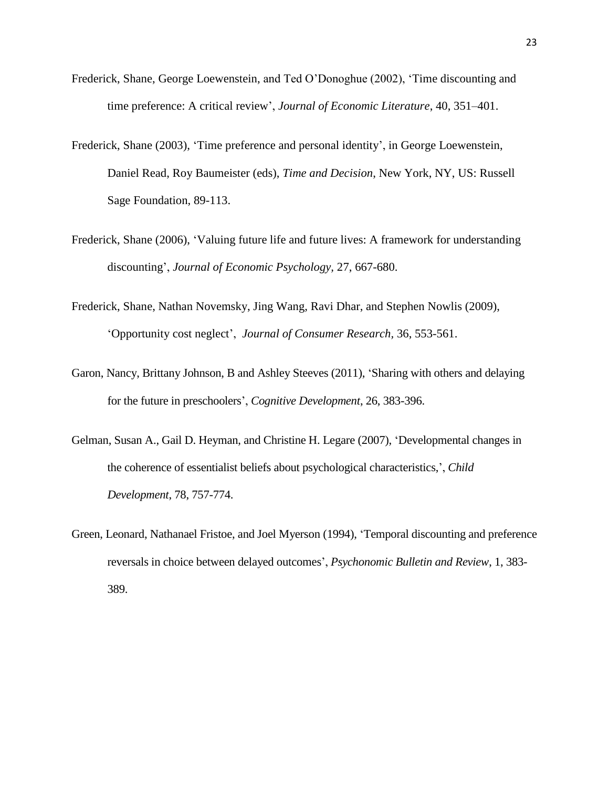- Frederick, Shane, George Loewenstein, and Ted O'Donoghue (2002), 'Time discounting and time preference: A critical review', *Journal of Economic Literature*, 40, 351–401.
- Frederick, Shane (2003), 'Time preference and personal identity', in George Loewenstein, Daniel Read, Roy Baumeister (eds), *Time and Decision*, New York, NY, US: Russell Sage Foundation, 89-113.
- Frederick, Shane (2006), 'Valuing future life and future lives: A framework for understanding discounting', *Journal of Economic Psychology,* 27, 667-680.
- Frederick, Shane, Nathan Novemsky, Jing Wang, Ravi Dhar, and Stephen Nowlis (2009), 'Opportunity cost neglect', *Journal of Consumer Research,* 36, 553-561.
- Garon, Nancy, Brittany Johnson, B and Ashley Steeves (2011), 'Sharing with others and delaying for the future in preschoolers', *Cognitive Development*, 26, 383-396.
- Gelman, Susan A., Gail D. Heyman, and Christine H. Legare (2007), 'Developmental changes in the coherence of essentialist beliefs about psychological characteristics,', *Child Development*, 78, 757-774.
- Green, Leonard, Nathanael Fristoe, and Joel Myerson (1994), 'Temporal discounting and preference reversals in choice between delayed outcomes', *Psychonomic Bulletin and Review*, 1, 383- 389.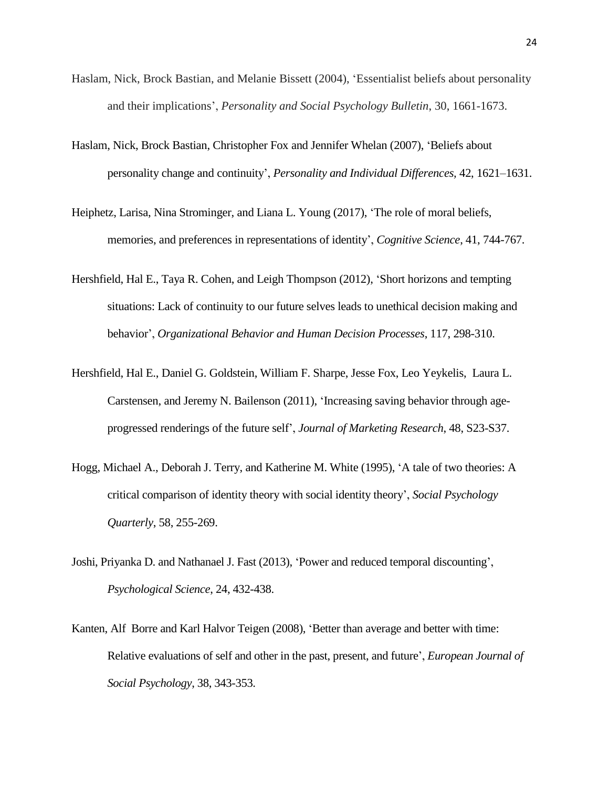- Haslam, Nick, Brock Bastian, and Melanie Bissett (2004), 'Essentialist beliefs about personality and their implications', *Personality and Social Psychology Bulletin*, 30, 1661-1673.
- Haslam, Nick, Brock Bastian, Christopher Fox and Jennifer Whelan (2007), 'Beliefs about personality change and continuity', *Personality and Individual Differences,* 42, 1621–1631.
- Heiphetz, Larisa, Nina Strominger, and Liana L. Young (2017), 'The role of moral beliefs, memories, and preferences in representations of identity', *Cognitive Science*, 41, 744-767.
- Hershfield, Hal E., Taya R. Cohen, and Leigh Thompson (2012), 'Short horizons and tempting situations: Lack of continuity to our future selves leads to unethical decision making and behavior', *Organizational Behavior and Human Decision Processes*, 117, 298-310.
- Hershfield, Hal E., Daniel G. Goldstein, William F. Sharpe, Jesse Fox, Leo Yeykelis, Laura L. Carstensen, and Jeremy N. Bailenson (2011), 'Increasing saving behavior through ageprogressed renderings of the future self', *Journal of Marketing Research*, 48, S23-S37.
- Hogg, Michael A., Deborah J. Terry, and Katherine M. White (1995), 'A tale of two theories: A critical comparison of identity theory with social identity theory', *Social Psychology Quarterly*, 58, 255-269.
- Joshi, Priyanka D. and Nathanael J. Fast (2013), 'Power and reduced temporal discounting', *Psychological Science*, 24, 432-438.
- Kanten, Alf Borre and Karl Halvor Teigen (2008), 'Better than average and better with time: Relative evaluations of self and other in the past, present, and future', *European Journal of Social Psychology*, 38, 343-353.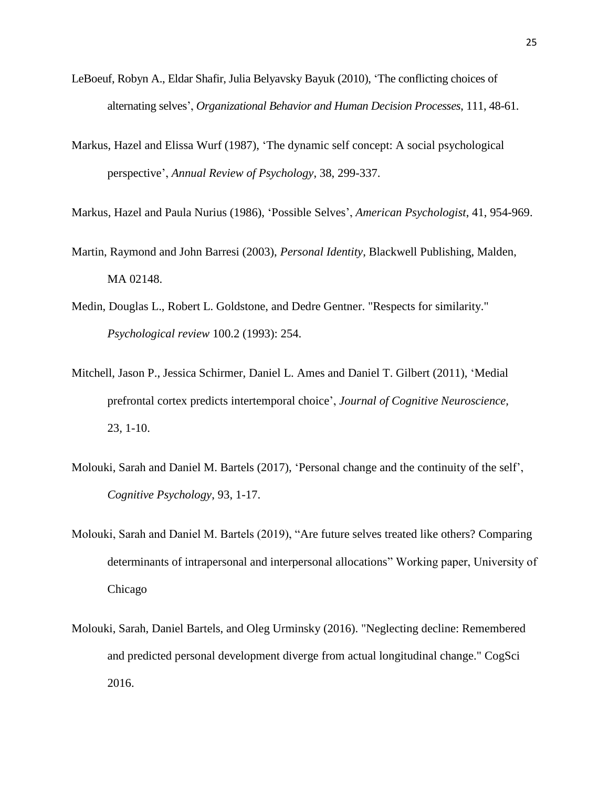- LeBoeuf, Robyn A., Eldar Shafir, Julia Belyavsky Bayuk (2010), 'The conflicting choices of alternating selves', *Organizational Behavior and Human Decision Processes*, 111, 48-61.
- Markus, Hazel and Elissa Wurf (1987), 'The dynamic self concept: A social psychological perspective', *Annual Review of Psychology*, 38, 299-337.

Markus, Hazel and Paula Nurius (1986), 'Possible Selves', *American Psychologist*, 41, 954-969.

- Martin, Raymond and John Barresi (2003), *Personal Identity*, Blackwell Publishing, Malden, MA 02148.
- Medin, Douglas L., Robert L. Goldstone, and Dedre Gentner. "Respects for similarity." *Psychological review* 100.2 (1993): 254.
- Mitchell, Jason P., Jessica Schirmer, Daniel L. Ames and Daniel T. Gilbert (2011), 'Medial prefrontal cortex predicts intertemporal choice', *Journal of Cognitive Neuroscience,*  23*,* 1-10.
- Molouki, Sarah and Daniel M. Bartels (2017), 'Personal change and the continuity of the self', *Cognitive Psychology*, 93, 1-17.
- Molouki, Sarah and Daniel M. Bartels (2019), "Are future selves treated like others? Comparing determinants of intrapersonal and interpersonal allocations" Working paper, University of Chicago
- Molouki, Sarah, Daniel Bartels, and Oleg Urminsky (2016). "Neglecting decline: Remembered and predicted personal development diverge from actual longitudinal change." CogSci 2016.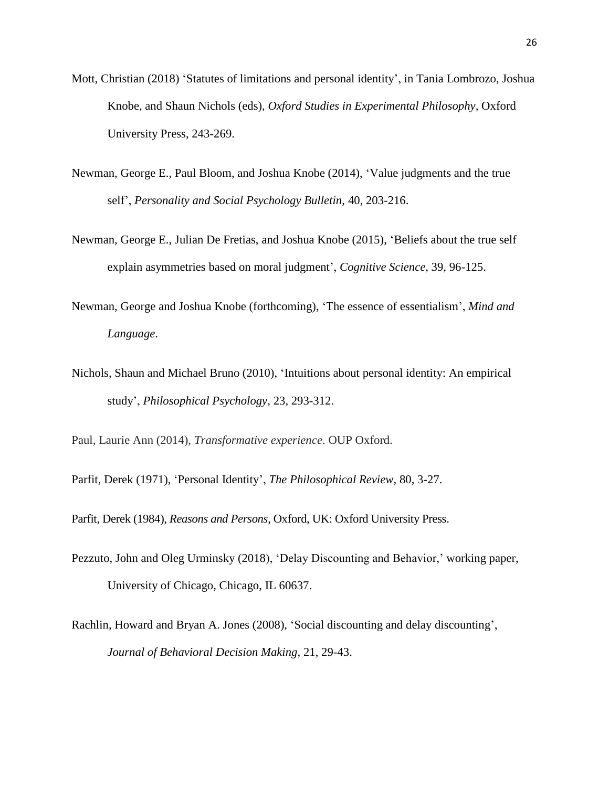- Mott, Christian (2018) 'Statutes of limitations and personal identity', in Tania Lombrozo, Joshua Knobe, and Shaun Nichols (eds), *Oxford Studies in Experimental Philosophy,* Oxford University Press, 243-269.
- Newman, George E., Paul Bloom, and Joshua Knobe (2014), 'Value judgments and the true self', *Personality and Social Psychology Bulletin*, 40, 203-216.
- Newman, George E., Julian De Fretias, and Joshua Knobe (2015), 'Beliefs about the true self explain asymmetries based on moral judgment', *Cognitive Science*, 39, 96-125.
- Newman, George and Joshua Knobe (forthcoming), 'The essence of essentialism', *Mind and Language*.
- Nichols, Shaun and Michael Bruno (2010), 'Intuitions about personal identity: An empirical study', *Philosophical Psychology*, 23, 293-312.

Paul, Laurie Ann (2014), *Transformative experience*. OUP Oxford.

Parfit, Derek (1971), 'Personal Identity', *The Philosophical Review*, 80, 3-27.

Parfit, Derek (1984), *Reasons and Persons*, Oxford, UK: Oxford University Press.

- Pezzuto, John and Oleg Urminsky (2018), 'Delay Discounting and Behavior,' working paper, University of Chicago, Chicago, IL 60637.
- Rachlin, Howard and Bryan A. Jones (2008), 'Social discounting and delay discounting', *Journal of Behavioral Decision Making*, 21, 29-43.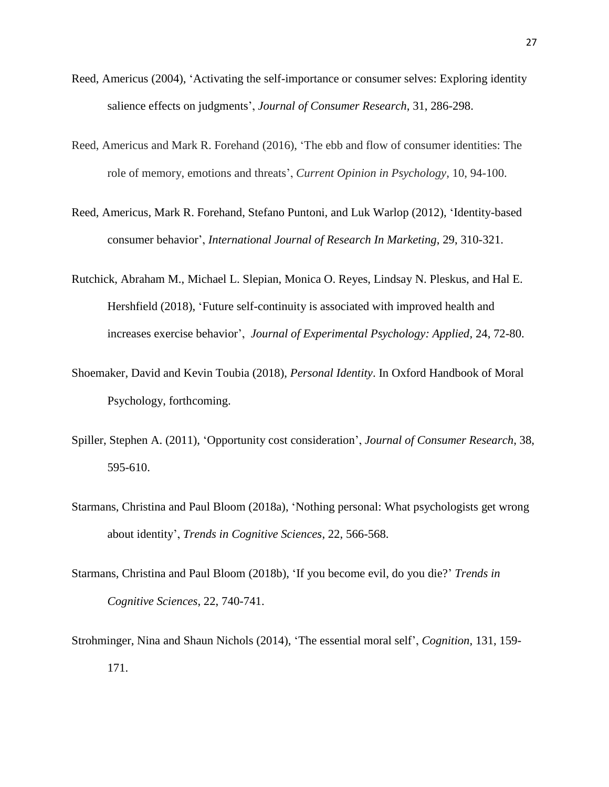- Reed, Americus (2004), 'Activating the self-importance or consumer selves: Exploring identity salience effects on judgments', *Journal of Consumer Research*, 31, 286-298.
- Reed, Americus and Mark R. Forehand (2016), 'The ebb and flow of consumer identities: The role of memory, emotions and threats', *Current Opinion in Psychology,* 10, 94-100.
- Reed, Americus, Mark R. Forehand, Stefano Puntoni, and Luk Warlop (2012), 'Identity-based consumer behavior', *International Journal of Research In Marketing*, 29, 310-321.
- Rutchick, Abraham M., Michael L. Slepian, Monica O. Reyes, Lindsay N. Pleskus, and Hal E. Hershfield (2018), 'Future self-continuity is associated with improved health and increases exercise behavior', *Journal of Experimental Psychology: Applied,* 24, 72-80.
- Shoemaker, David and Kevin Toubia (2018), *Personal Identity*. In Oxford Handbook of Moral Psychology, forthcoming.
- Spiller, Stephen A. (2011), 'Opportunity cost consideration', *Journal of Consumer Research*, 38, 595-610.
- Starmans, Christina and Paul Bloom (2018a), 'Nothing personal: What psychologists get wrong about identity', *Trends in Cognitive Sciences*, 22, 566-568.
- Starmans, Christina and Paul Bloom (2018b), 'If you become evil, do you die?' *Trends in Cognitive Sciences*, 22, 740-741.
- Strohminger, Nina and Shaun Nichols (2014), 'The essential moral self', *Cognition*, 131, 159- 171.